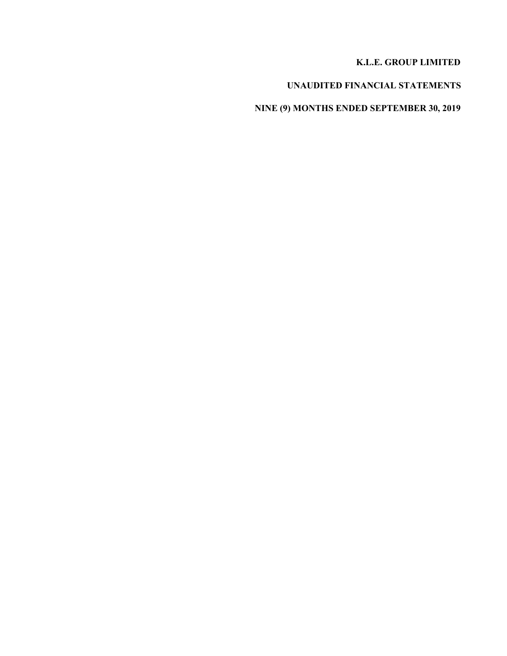### **K.L.E. GROUP LIMITED**

# **UNAUDITED FINANCIAL STATEMENTS**

# **NINE (9) MONTHS ENDED SEPTEMBER 30, 2019**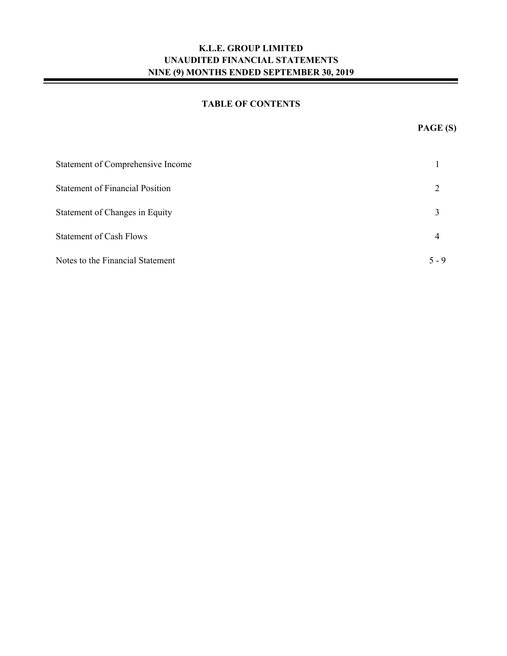### **TABLE OF CONTENTS**

| Statement of Comprehensive Income      |         |
|----------------------------------------|---------|
| <b>Statement of Financial Position</b> |         |
| Statement of Changes in Equity         | 3       |
| <b>Statement of Cash Flows</b>         | 4       |
| Notes to the Financial Statement       | $5 - 9$ |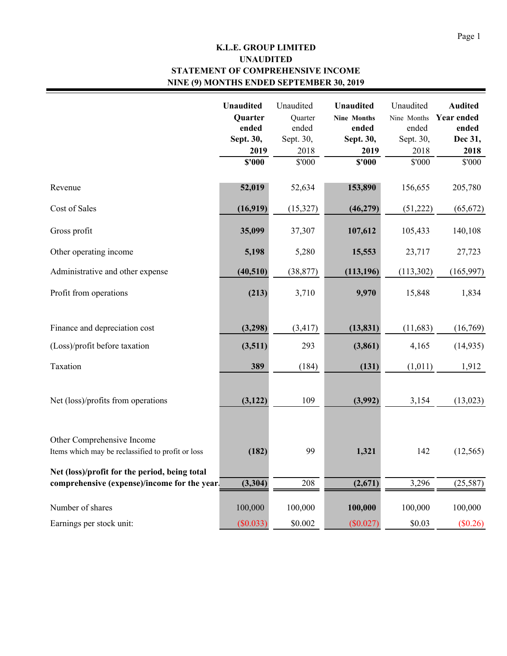# **K.L.E. GROUP LIMITED STATEMENT OF COMPREHENSIVE INCOME NINE (9) MONTHS ENDED SEPTEMBER 30, 2019 UNAUDITED**

|                                                                                               | <b>Unaudited</b><br><b>Quarter</b><br>ended<br>Sept. 30,<br>2019<br>\$'000 | Unaudited<br>Quarter<br>ended<br>Sept. 30,<br>2018<br>\$'000 | <b>Unaudited</b><br><b>Nine Months</b><br>ended<br>Sept. 30,<br>2019<br>\$'000 | Unaudited<br>Nine Months<br>ended<br>Sept. 30,<br>2018<br>\$'000 | <b>Audited</b><br><b>Year ended</b><br>ended<br>Dec 31,<br>2018<br>\$'000 |
|-----------------------------------------------------------------------------------------------|----------------------------------------------------------------------------|--------------------------------------------------------------|--------------------------------------------------------------------------------|------------------------------------------------------------------|---------------------------------------------------------------------------|
| Revenue                                                                                       | 52,019                                                                     | 52,634                                                       | 153,890                                                                        | 156,655                                                          | 205,780                                                                   |
| Cost of Sales                                                                                 | (16,919)                                                                   | (15,327)                                                     | (46,279)                                                                       | (51,222)                                                         | (65, 672)                                                                 |
| Gross profit                                                                                  | 35,099                                                                     | 37,307                                                       | 107,612                                                                        | 105,433                                                          | 140,108                                                                   |
| Other operating income                                                                        | 5,198                                                                      | 5,280                                                        | 15,553                                                                         | 23,717                                                           | 27,723                                                                    |
| Administrative and other expense                                                              | (40, 510)                                                                  | (38, 877)                                                    | (113, 196)                                                                     | (113,302)                                                        | (165, 997)                                                                |
| Profit from operations                                                                        | (213)                                                                      | 3,710                                                        | 9,970                                                                          | 15,848                                                           | 1,834                                                                     |
| Finance and depreciation cost                                                                 | (3,298)                                                                    | (3, 417)                                                     | (13, 831)                                                                      | (11, 683)                                                        | (16,769)                                                                  |
| (Loss)/profit before taxation                                                                 | (3,511)                                                                    | 293                                                          | (3, 861)                                                                       | 4,165                                                            | (14, 935)                                                                 |
| Taxation                                                                                      | 389                                                                        | (184)                                                        | (131)                                                                          | (1,011)                                                          | 1,912                                                                     |
| Net (loss)/profits from operations                                                            | (3, 122)                                                                   | 109                                                          | (3,992)                                                                        | 3,154                                                            | (13, 023)                                                                 |
| Other Comprehensive Income<br>Items which may be reclassified to profit or loss               | (182)                                                                      | 99                                                           | 1,321                                                                          | 142                                                              | (12, 565)                                                                 |
| Net (loss)/profit for the period, being total<br>comprehensive (expense)/income for the year. | (3, 304)                                                                   | 208                                                          | (2,671)                                                                        | 3,296                                                            | (25, 587)                                                                 |
| Number of shares                                                                              | 100,000                                                                    | 100,000                                                      | 100,000                                                                        | 100,000                                                          | 100,000                                                                   |
| Earnings per stock unit:                                                                      | (\$0.033)                                                                  | \$0.002                                                      | (\$0.027)                                                                      | \$0.03                                                           | (\$0.26)                                                                  |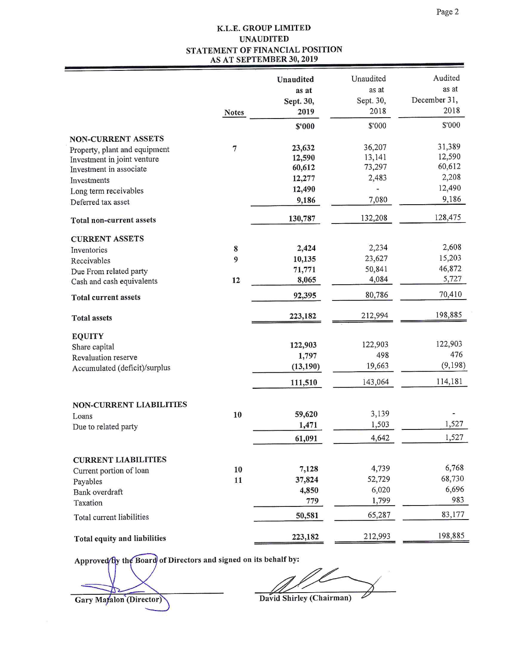### K.L.E. GROUP LIMITED **UNAUDITED** STATEMENT OF FINANCIAL POSITION AS AT SEPTEMBER 30, 2019

|                                                        |                | Unaudited<br>as at<br>Sept. 30, | Unaudited<br>as at<br>Sept. 30, | Audited<br>as at<br>December 31, |
|--------------------------------------------------------|----------------|---------------------------------|---------------------------------|----------------------------------|
|                                                        | <b>Notes</b>   | 2019                            | 2018                            | 2018                             |
|                                                        |                | \$'000                          | \$'000                          | \$'000                           |
| <b>NON-CURRENT ASSETS</b>                              |                |                                 |                                 |                                  |
| Property, plant and equipment                          | $\overline{7}$ | 23,632                          | 36,207<br>13,141                | 31,389<br>12,590                 |
| Investment in joint venture<br>Investment in associate |                | 12,590<br>60,612                | 73,297                          | 60,612                           |
| Investments                                            |                | 12,277                          | 2,483                           | 2,208                            |
| Long term receivables                                  |                | 12,490                          |                                 | 12,490                           |
| Deferred tax asset                                     |                | 9,186                           | 7,080                           | 9,186                            |
| Total non-current assets                               |                | 130,787                         | 132,208                         | 128,475                          |
|                                                        |                |                                 |                                 |                                  |
| <b>CURRENT ASSETS</b>                                  | 8              | 2,424                           | 2,234                           | 2,608                            |
| Inventories                                            | 9              | 10,135                          | 23,627                          | 15,203                           |
| Receivables<br>Due From related party                  |                | 71,771                          | 50,841                          | 46,872                           |
| Cash and cash equivalents                              | 12             | 8,065                           | 4,084                           | 5,727                            |
| <b>Total current assets</b>                            |                | 92,395                          | 80,786                          | 70,410                           |
| <b>Total assets</b>                                    |                | 223,182                         | 212,994                         | 198,885                          |
| <b>EQUITY</b>                                          |                |                                 |                                 |                                  |
| Share capital                                          |                | 122,903                         | 122,903                         | 122,903                          |
| Revaluation reserve                                    |                | 1,797                           | 498                             | 476                              |
| Accumulated (deficit)/surplus                          |                | (13, 190)                       | 19,663                          | (9, 198)                         |
|                                                        |                | 111,510                         | 143,064                         | 114,181                          |
| <b>NON-CURRENT LIABILITIES</b>                         |                |                                 |                                 |                                  |
| Loans                                                  | 10             | 59,620                          | 3,139                           |                                  |
| Due to related party                                   |                | 1,471                           | 1,503                           | 1,527                            |
|                                                        |                | 61,091                          | 4,642                           | 1,527                            |
|                                                        |                |                                 |                                 |                                  |
| <b>CURRENT LIABILITIES</b>                             | 10             | 7,128                           | 4,739                           | 6,768                            |
| Current portion of loan                                | 11             | 37,824                          | 52,729                          | 68,730                           |
| Payables<br>Bank overdraft                             |                | 4,850                           | 6,020                           | 6,696                            |
| Taxation                                               |                | 779                             | 1,799                           | 983                              |
| Total current liabilities                              |                | 50,581                          | 65,287                          | 83,177                           |
| Total equity and liabilities                           |                | 223,182                         | 212,993                         | 198,885                          |

Approved by the Board of Directors and signed on its behalf by:

Gary Matalon (Director)

1

David Shirley (Chairman)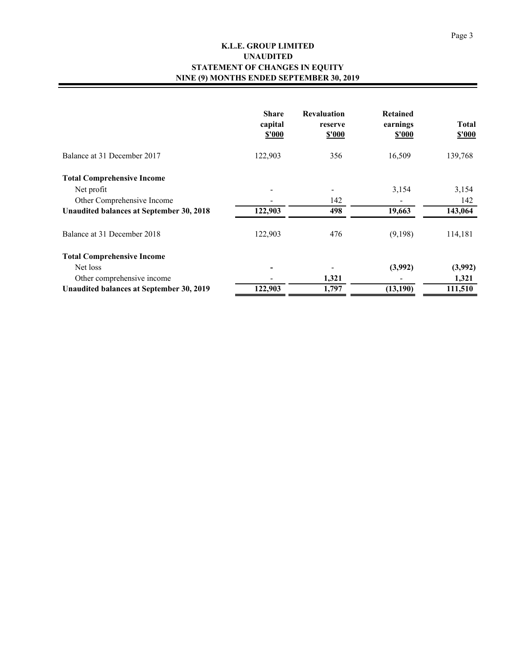### **K.L.E. GROUP LIMITED STATEMENT OF CHANGES IN EQUITY NINE (9) MONTHS ENDED SEPTEMBER 30, 2019 UNAUDITED**

|                                          | <b>Share</b><br>capital<br>\$'000 | <b>Revaluation</b><br>reserve<br><b>\$'000</b> | <b>Retained</b><br>earnings<br>\$'000 | <b>Total</b><br><b>\$'000</b> |
|------------------------------------------|-----------------------------------|------------------------------------------------|---------------------------------------|-------------------------------|
| Balance at 31 December 2017              | 122,903                           | 356                                            | 16,509                                | 139,768                       |
| <b>Total Comprehensive Income</b>        |                                   |                                                |                                       |                               |
| Net profit                               |                                   |                                                | 3,154                                 | 3,154                         |
| Other Comprehensive Income               |                                   | 142                                            |                                       | 142                           |
| Unaudited balances at September 30, 2018 | 122,903                           | 498                                            | 19,663                                | 143,064                       |
| Balance at 31 December 2018              | 122,903                           | 476                                            | (9,198)                               | 114,181                       |
| <b>Total Comprehensive Income</b>        |                                   |                                                |                                       |                               |
| Net loss                                 |                                   |                                                | (3,992)                               | (3,992)                       |
| Other comprehensive income               |                                   | 1,321                                          |                                       | 1,321                         |
| Unaudited balances at September 30, 2019 | 122,903                           | 1,797                                          | (13,190)                              | 111,510                       |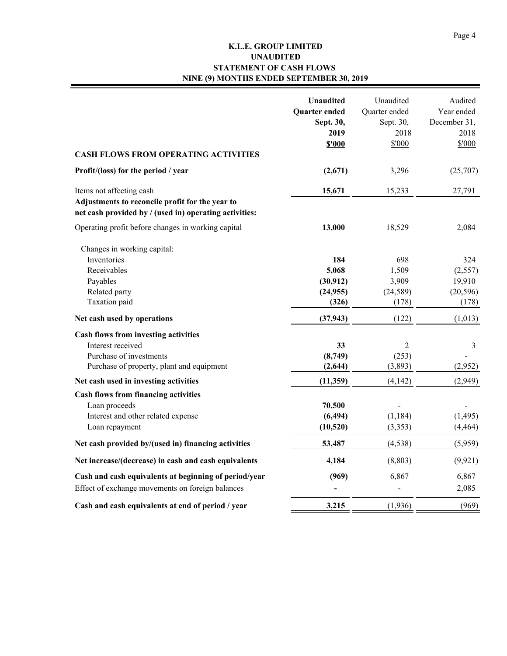### **K.L.E. GROUP LIMITED STATEMENT OF CASH FLOWS NINE (9) MONTHS ENDED SEPTEMBER 30, 2019 UNAUDITED**

| <b>CASH FLOWS FROM OPERATING ACTIVITIES</b>                                                                                           | <b>Unaudited</b><br><b>Quarter</b> ended<br>Sept. 30,<br>2019<br><b>\$'000</b> | Unaudited<br>Quarter ended<br>Sept. 30,<br>2018<br>\$'000 | Audited<br>Year ended<br>December 31,<br>2018<br>\$'000 |
|---------------------------------------------------------------------------------------------------------------------------------------|--------------------------------------------------------------------------------|-----------------------------------------------------------|---------------------------------------------------------|
| Profit/(loss) for the period / year                                                                                                   | (2,671)                                                                        | 3,296                                                     | (25,707)                                                |
| Items not affecting cash<br>Adjustments to reconcile profit for the year to<br>net cash provided by / (used in) operating activities: | 15,671                                                                         | 15,233                                                    | 27,791                                                  |
| Operating profit before changes in working capital                                                                                    | 13,000                                                                         | 18,529                                                    | 2,084                                                   |
| Changes in working capital:<br>Inventories<br>Receivables<br>Payables<br>Related party<br>Taxation paid                               | 184<br>5,068<br>(30, 912)<br>(24, 955)<br>(326)                                | 698<br>1,509<br>3,909<br>(24, 589)<br>(178)               | 324<br>(2,557)<br>19,910<br>(20, 596)<br>(178)          |
| Net cash used by operations                                                                                                           | (37, 943)                                                                      | (122)                                                     | (1,013)                                                 |
| Cash flows from investing activities<br>Interest received<br>Purchase of investments<br>Purchase of property, plant and equipment     | 33<br>(8,749)<br>(2, 644)                                                      | $\overline{2}$<br>(253)<br>(3,893)                        | $\mathfrak{Z}$<br>(2,952)                               |
| Net cash used in investing activities                                                                                                 | (11, 359)                                                                      | (4, 142)                                                  | (2,949)                                                 |
| <b>Cash flows from financing activities</b><br>Loan proceeds<br>Interest and other related expense<br>Loan repayment                  | 70,500<br>(6, 494)<br>(10, 520)                                                | (1, 184)<br>(3,353)                                       | (1, 495)<br>(4, 464)                                    |
| Net cash provided by/(used in) financing activities                                                                                   | 53,487                                                                         | (4, 538)                                                  | (5,959)                                                 |
| Net increase/(decrease) in cash and cash equivalents                                                                                  | 4,184                                                                          | (8, 803)                                                  | (9, 921)                                                |
| Cash and cash equivalents at beginning of period/year<br>Effect of exchange movements on foreign balances                             | (969)                                                                          | 6,867                                                     | 6,867<br>2,085                                          |
| Cash and cash equivalents at end of period / year                                                                                     | 3,215                                                                          | (1,936)                                                   | (969)                                                   |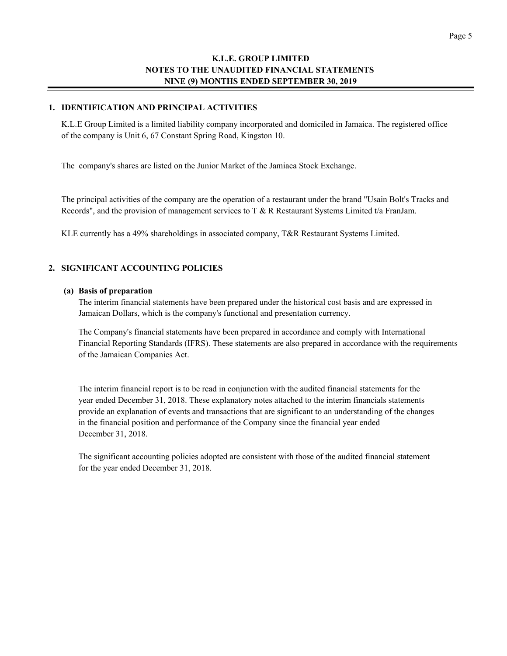#### **1. IDENTIFICATION AND PRINCIPAL ACTIVITIES**

K.L.E Group Limited is a limited liability company incorporated and domiciled in Jamaica. The registered office of the company is Unit 6, 67 Constant Spring Road, Kingston 10.

The company's shares are listed on the Junior Market of the Jamiaca Stock Exchange.

The principal activities of the company are the operation of a restaurant under the brand "Usain Bolt's Tracks and Records", and the provision of management services to T & R Restaurant Systems Limited t/a FranJam.

KLE currently has a 49% shareholdings in associated company, T&R Restaurant Systems Limited.

#### **2. SIGNIFICANT ACCOUNTING POLICIES**

#### **(a) Basis of preparation**

The interim financial statements have been prepared under the historical cost basis and are expressed in Jamaican Dollars, which is the company's functional and presentation currency.

The Company's financial statements have been prepared in accordance and comply with International Financial Reporting Standards (IFRS). These statements are also prepared in accordance with the requirements of the Jamaican Companies Act.

The interim financial report is to be read in conjunction with the audited financial statements for the year ended December 31, 2018. These explanatory notes attached to the interim financials statements provide an explanation of events and transactions that are significant to an understanding of the changes in the financial position and performance of the Company since the financial year ended December 31, 2018.

The significant accounting policies adopted are consistent with those of the audited financial statement for the year ended December 31, 2018.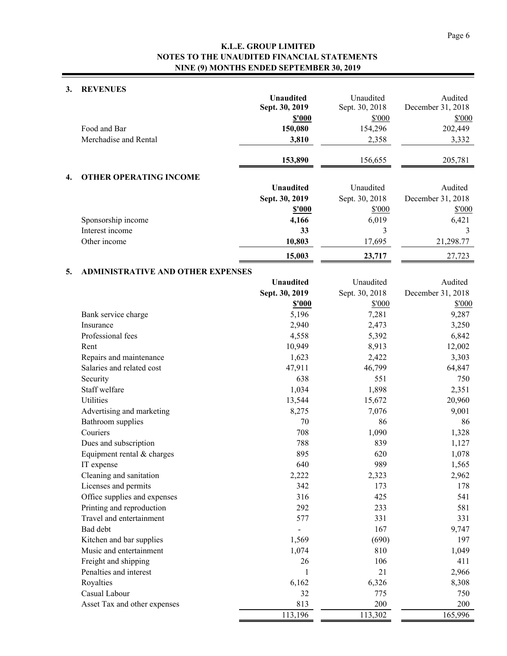# **3. REVENUES**

| s. | <b>REVENUES</b>                          |                  |                |                   |
|----|------------------------------------------|------------------|----------------|-------------------|
|    |                                          | Unaudited        | Unaudited      | Audited           |
|    |                                          | Sept. 30, 2019   | Sept. 30, 2018 | December 31, 2018 |
|    | Food and Bar                             | \$'000           | \$'000         | \$'000            |
|    | Merchadise and Rental                    | 150,080          | 154,296        | 202,449           |
|    |                                          | 3,810            | 2,358          | 3,332             |
|    |                                          | 153,890          | 156,655        | 205,781           |
| 4. | <b>OTHER OPERATING INCOME</b>            |                  |                |                   |
|    |                                          | <b>Unaudited</b> | Unaudited      | Audited           |
|    |                                          | Sept. 30, 2019   | Sept. 30, 2018 | December 31, 2018 |
|    |                                          | <b>\$'000</b>    | \$'000         | \$'000            |
|    | Sponsorship income                       | 4,166            | 6,019          | 6,421             |
|    | Interest income                          | 33               | 3              | 3                 |
|    | Other income                             | 10,803           | 17,695         | 21,298.77         |
|    |                                          | 15,003           | 23,717         | 27,723            |
| 5. | <b>ADMINISTRATIVE AND OTHER EXPENSES</b> |                  |                |                   |
|    |                                          | <b>Unaudited</b> | Unaudited      | Audited           |
|    |                                          | Sept. 30, 2019   | Sept. 30, 2018 | December 31, 2018 |
|    |                                          | <b>\$'000</b>    | \$'000         | \$'000            |
|    | Bank service charge                      | 5,196            | 7,281          | 9,287             |
|    | Insurance                                | 2,940            | 2,473          | 3,250             |
|    | Professional fees                        | 4,558            | 5,392          | 6,842             |
|    | Rent                                     | 10,949           | 8,913          | 12,002            |
|    | Repairs and maintenance                  | 1,623            | 2,422          | 3,303             |
|    | Salaries and related cost                | 47,911           | 46,799         | 64,847            |
|    | Security                                 | 638              | 551            | 750               |
|    | Staff welfare                            | 1,034            | 1,898          | 2,351             |
|    | Utilities                                | 13,544           | 15,672         | 20,960            |
|    | Advertising and marketing                | 8,275            | 7,076          | 9,001             |
|    | Bathroom supplies                        | 70               | 86             | 86                |
|    | Couriers                                 | 708              | 1,090          | 1,328             |
|    | Dues and subscription                    | 788              | 839            | 1,127             |
|    | Equipment rental & charges               | 895              | 620            | 1,078             |
|    | IT expense                               | 640              | 989            | 1,565             |
|    | Cleaning and sanitation                  | 2,222            | 2,323          | 2,962             |
|    | Licenses and permits                     | 342              | 173            | 178               |
|    | Office supplies and expenses             | 316              | 425            | 541               |
|    | Printing and reproduction                | 292              | 233            | 581               |
|    | Travel and entertainment                 | 577              | 331            | 331               |
|    | Bad debt                                 |                  | 167            | 9,747             |
|    | Kitchen and bar supplies                 | 1,569            | (690)          | 197               |
|    | Music and entertainment                  | 1,074            | 810            | 1,049             |

Freight and shipping 26 26 106 411 Penalties and interest 21 2,966 Royalties  $6,162$   $6,326$   $8,308$ Casual Labour 750 32 775 750 Asset Tax and other expenses 813 200 200

113,196 113,302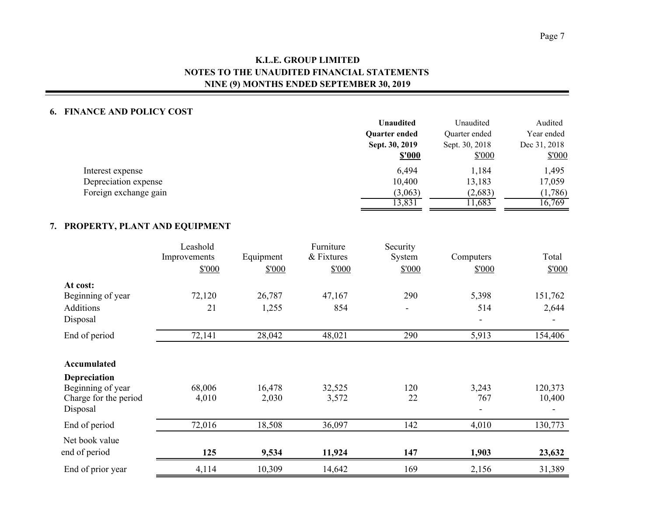### **6. FINANCE AND POLICY COST**

|                       | <b>Unaudited</b>     | Unaudited      | Audited      |
|-----------------------|----------------------|----------------|--------------|
|                       | <b>Ouarter ended</b> | Quarter ended  | Year ended   |
|                       | Sept. 30, 2019       | Sept. 30, 2018 | Dec 31, 2018 |
|                       | <b>\$'000</b>        | \$'000         | \$'000       |
| Interest expense      | 6,494                | 1,184          | 1,495        |
| Depreciation expense  | 10,400               | 13,183         | 17,059       |
| Foreign exchange gain | (3,063)              | (2,683)        | (1,786)      |
|                       | 3,831                | 1,683          | 16,769       |

### **7. PROPERTY, PLANT AND EQUIPMENT**

|                                   | Leashold<br>Improvements | Equipment | Furniture<br>& Fixtures | Security<br>System | Computers | Total   |
|-----------------------------------|--------------------------|-----------|-------------------------|--------------------|-----------|---------|
|                                   | \$'000                   | \$'000    | \$'000                  | \$'000             | \$'000    | \$'000  |
| At cost:                          |                          |           |                         |                    |           |         |
| Beginning of year                 | 72,120                   | 26,787    | 47,167                  | 290                | 5,398     | 151,762 |
| Additions                         | 21                       | 1,255     | 854                     |                    | 514       | 2,644   |
| Disposal                          |                          |           |                         |                    |           |         |
| End of period                     | 72,141                   | 28,042    | 48,021                  | 290                | 5,913     | 154,406 |
| Accumulated                       |                          |           |                         |                    |           |         |
| Depreciation                      |                          |           |                         |                    |           |         |
| Beginning of year                 | 68,006                   | 16,478    | 32,525                  | 120                | 3,243     | 120,373 |
| Charge for the period<br>Disposal | 4,010                    | 2,030     | 3,572                   | 22                 | 767       | 10,400  |
| End of period                     | 72,016                   | 18,508    | 36,097                  | 142                | 4,010     | 130,773 |
| Net book value                    |                          |           |                         |                    |           |         |
| end of period                     | 125                      | 9,534     | 11,924                  | 147                | 1,903     | 23,632  |
| End of prior year                 | 4,114                    | 10,309    | 14,642                  | 169                | 2,156     | 31,389  |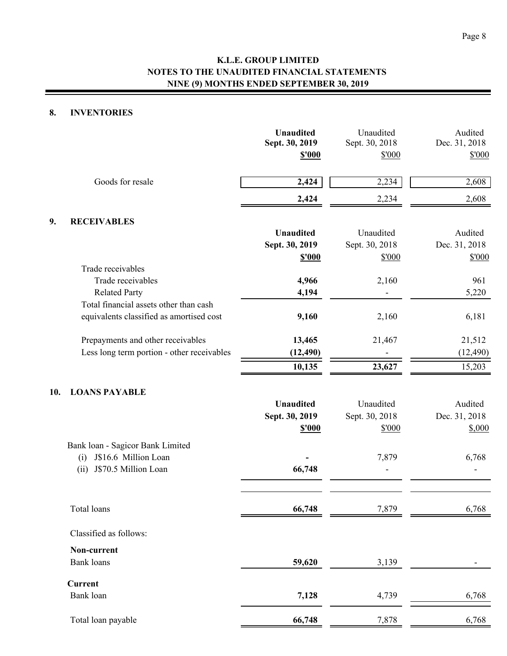### **8. INVENTORIES**

|     |                                                                                                 | <b>Unaudited</b><br>Sept. 30, 2019<br>\$'000 | Unaudited<br>Sept. 30, 2018<br>\$'000 | Audited<br>Dec. 31, 2018<br>\$'000 |
|-----|-------------------------------------------------------------------------------------------------|----------------------------------------------|---------------------------------------|------------------------------------|
|     | Goods for resale                                                                                | 2,424                                        | 2,234                                 | 2,608                              |
|     |                                                                                                 | 2,424                                        | 2,234                                 | 2,608                              |
| 9.  | <b>RECEIVABLES</b>                                                                              |                                              |                                       |                                    |
|     |                                                                                                 | <b>Unaudited</b><br>Sept. 30, 2019<br>\$'000 | Unaudited<br>Sept. 30, 2018<br>\$'000 | Audited<br>Dec. 31, 2018<br>\$'000 |
|     | Trade receivables<br>Trade receivables<br><b>Related Party</b>                                  | 4,966<br>4,194                               | 2,160                                 | 961<br>5,220                       |
|     | Total financial assets other than cash<br>equivalents classified as amortised cost              | 9,160                                        | 2,160                                 | 6,181                              |
|     | Prepayments and other receivables<br>Less long term portion - other receivables                 | 13,465<br>(12, 490)                          | 21,467                                | 21,512<br>(12, 490)<br>15,203      |
| 10. | <b>LOANS PAYABLE</b>                                                                            | 10,135<br><b>Unaudited</b><br>Sept. 30, 2019 | 23,627<br>Unaudited<br>Sept. 30, 2018 | Audited<br>Dec. 31, 2018           |
|     | Bank loan - Sagicor Bank Limited<br>J\$16.6 Million Loan<br>(i)<br>J\$70.5 Million Loan<br>(ii) | \$'000<br>66,748                             | \$'000<br>7,879                       | \$,000<br>6,768                    |
|     | Total loans                                                                                     | 66,748                                       | 7,879                                 | 6,768                              |
|     | Classified as follows:                                                                          |                                              |                                       |                                    |
|     | Non-current<br><b>Bank</b> loans                                                                | 59,620                                       | 3,139                                 |                                    |
|     | <b>Current</b><br>Bank loan                                                                     | 7,128                                        | 4,739                                 | 6,768                              |
|     | Total loan payable                                                                              | 66,748                                       | 7,878                                 | 6,768                              |